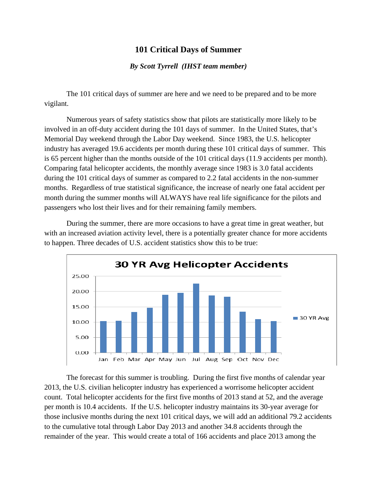## **101 Critical Days of Summer**

## *By Scott Tyrrell (IHST team member)*

The 101 critical days of summer are here and we need to be prepared and to be more vigilant.

Numerous years of safety statistics show that pilots are statistically more likely to be involved in an off-duty accident during the 101 days of summer. In the United States, that's Memorial Day weekend through the Labor Day weekend. Since 1983, the U.S. helicopter industry has averaged 19.6 accidents per month during these 101 critical days of summer. This is 65 percent higher than the months outside of the 101 critical days (11.9 accidents per month). Comparing fatal helicopter accidents, the monthly average since 1983 is 3.0 fatal accidents during the 101 critical days of summer as compared to 2.2 fatal accidents in the non-summer months. Regardless of true statistical significance, the increase of nearly one fatal accident per month during the summer months will ALWAYS have real life significance for the pilots and passengers who lost their lives and for their remaining family members.

During the summer, there are more occasions to have a great time in great weather, but with an increased aviation activity level, there is a potentially greater chance for more accidents to happen. Three decades of U.S. accident statistics show this to be true:



The forecast for this summer is troubling. During the first five months of calendar year 2013, the U.S. civilian helicopter industry has experienced a worrisome helicopter accident count. Total helicopter accidents for the first five months of 2013 stand at 52, and the average per month is 10.4 accidents. If the U.S. helicopter industry maintains its 30-year average for those inclusive months during the next 101 critical days, we will add an additional 79.2 accidents to the cumulative total through Labor Day 2013 and another 34.8 accidents through the remainder of the year. This would create a total of 166 accidents and place 2013 among the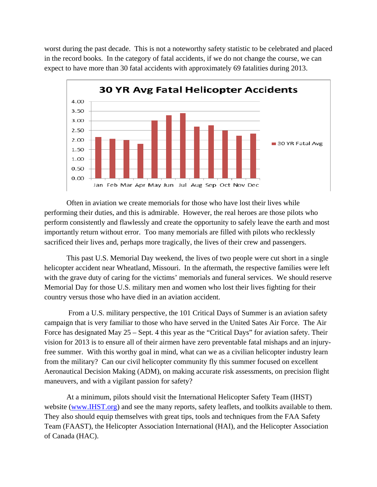worst during the past decade. This is not a noteworthy safety statistic to be celebrated and placed in the record books. In the category of fatal accidents, if we do not change the course, we can expect to have more than 30 fatal accidents with approximately 69 fatalities during 2013.



Often in aviation we create memorials for those who have lost their lives while performing their duties, and this is admirable. However, the real heroes are those pilots who perform consistently and flawlessly and create the opportunity to safely leave the earth and most importantly return without error. Too many memorials are filled with pilots who recklessly sacrificed their lives and, perhaps more tragically, the lives of their crew and passengers.

This past U.S. Memorial Day weekend, the lives of two people were cut short in a single helicopter accident near Wheatland, Missouri. In the aftermath, the respective families were left with the grave duty of caring for the victims' memorials and funeral services. We should reserve Memorial Day for those U.S. military men and women who lost their lives fighting for their country versus those who have died in an aviation accident.

 From a U.S. military perspective, the 101 Critical Days of Summer is an aviation safety campaign that is very familiar to those who have served in the United Sates Air Force. The Air Force has designated May 25 – Sept. 4 this year as the "Critical Days" for aviation safety. Their vision for 2013 is to ensure all of their airmen have zero preventable fatal mishaps and an injuryfree summer. With this worthy goal in mind, what can we as a civilian helicopter industry learn from the military? Can our civil helicopter community fly this summer focused on excellent Aeronautical Decision Making (ADM), on making accurate risk assessments, on precision flight maneuvers, and with a vigilant passion for safety?

 At a minimum, pilots should visit the International Helicopter Safety Team (IHST) website (www.IHST.org) and see the many reports, safety leaflets, and toolkits available to them. They also should equip themselves with great tips, tools and techniques from the FAA Safety Team (FAAST), the Helicopter Association International (HAI), and the Helicopter Association of Canada (HAC).